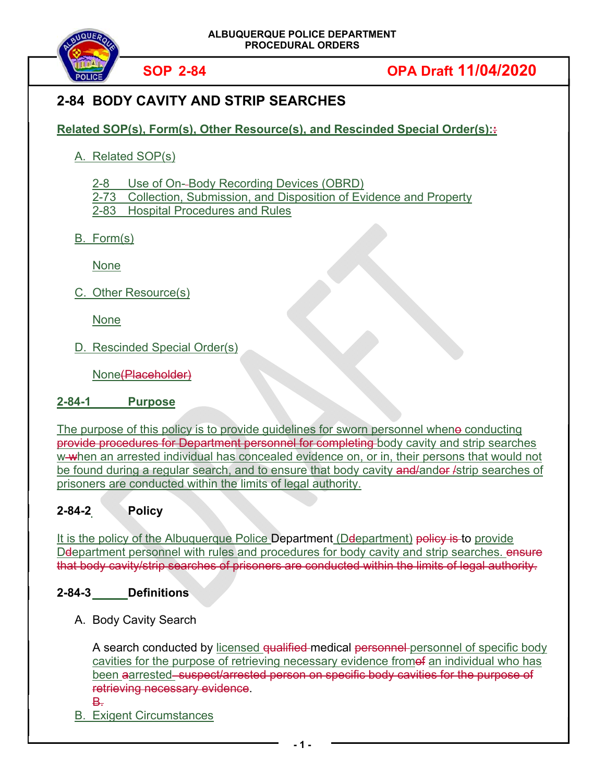

# **SOP 2-84 OPA Draft 11/04/2020**

## **2-84 BODY CAVITY AND STRIP SEARCHES**

**Related SOP(s), Form(s), Other Resource(s), and Rescinded Special Order(s)::**

A. Related SOP(s)

2-8 Use of On- Body Recording Devices (OBRD)

2-73 Collection, Submission, and Disposition of Evidence and Property

2-83 Hospital Procedures and Rules

B. Form(s)

None

C. Other Resource(s)

None

D. Rescinded Special Order(s)

None<del>(Placeholder)</del>

## **2-84-1 Purpose**

The purpose of this policy is to provide guidelines for sworn personnel whene conducting provide procedures for Department personnel for completing body cavity and strip searches w when an arrested individual has concealed evidence on, or in, their persons that would not be found during a regular search, and to ensure that body cavity and/andor /strip searches of prisoners are conducted within the limits of legal authority.

## **2-84-2 Policy**

It is the policy of the Albuquerque Police Department (Deepartment) policy is to provide De bartment personnel with rules and procedures for body cavity and strip searches. ensure that body cavity/strip searches of prisoners are conducted within the limits of legal authority.

## **2-84-3 Definitions**

A. Body Cavity Search

A search conducted by licensed qualified medical personnel personnel of specific body cavities for the purpose of retrieving necessary evidence fromet an individual who has been aarrested-suspect/arrested person on specific body cavities for the purpose of retrieving necessary evidence. B.

B. Exigent Circumstances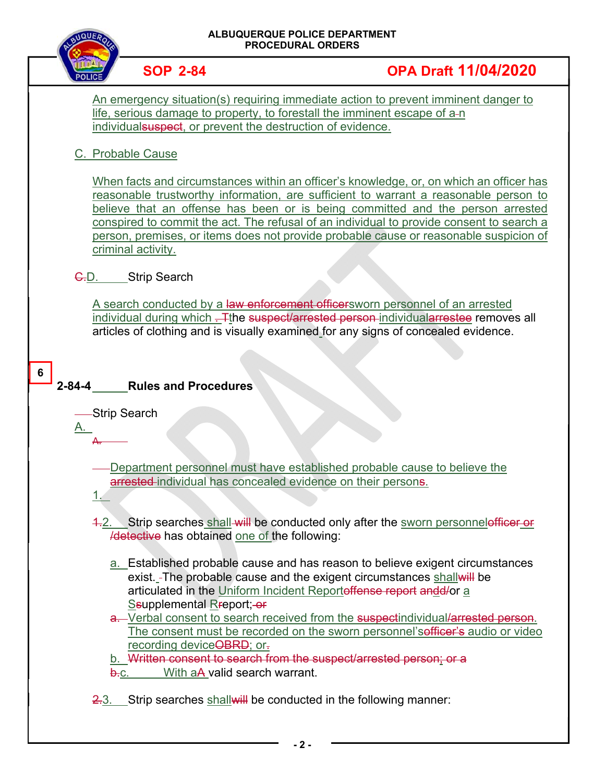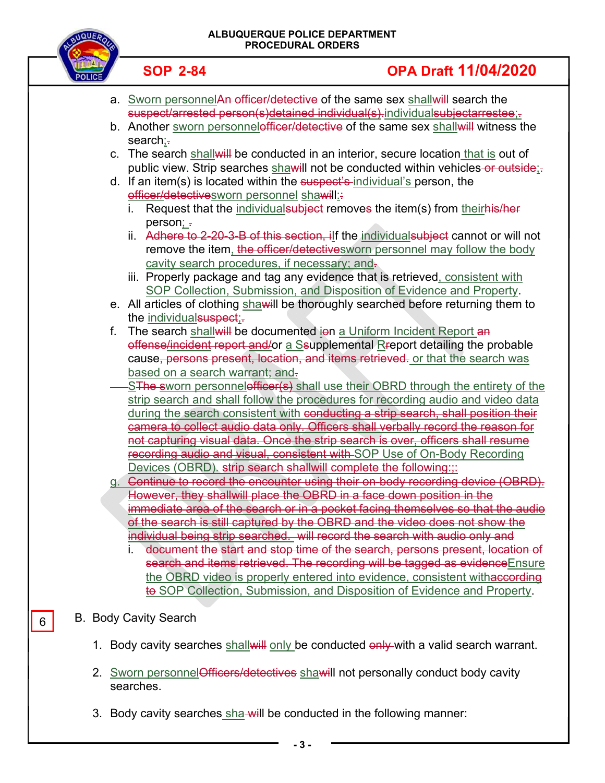#### **ALBUQUERQUE POLICE DEPARTMENT PROCEDURAL ORDERS**



## **SOP 2-84 OPA Draft 11/04/2020**

- a. Sworn personnelAn officer/detective of the same sex shall will search the suspect/arrested person(s)detained individual(s).individualsubjectarrestee;.
- b. Another sworn personnelofficer/detective of the same sex shall will witness the search:-
- c. The search shall will be conducted in an interior, secure location that is out of public view. Strip searches shawill not be conducted within vehicles-or outside;-
- d. If an item(s) is located within the suspect's individual's person, the officer/detectivesworn personnel shawill:
	- i. Request that the individual subject removes the item(s) from theirhis/her person; -
	- ii. Adhere to 2-20-3-B of this section, ilf the individual subject cannot or will not remove the item, the officer/detectives worn personnel may follow the body cavity search procedures, if necessary; and-
	- iii. Properly package and tag any evidence that is retrieved, consistent with SOP Collection, Submission, and Disposition of Evidence and Property.
- e. All articles of clothing shawill be thoroughly searched before returning them to the individual suspect;.
- f. The search shall will be documented ion a Uniform Incident Report an offense/incident report and/or a Ssupplemental Rreport detailing the probable cause, persons present, location, and items retrieved. or that the search was based on a search warrant; and-
- SThe sworn personnelofficer(s) shall use their OBRD through the entirety of the strip search and shall follow the procedures for recording audio and video data during the search consistent with conducting a strip search, shall position their camera to collect audio data only. Officers shall verbally record the reason for not capturing visual data. Once the strip search is over, officers shall resume recording audio and visual, consistent with SOP Use of On-Body Recording Devices (OBRD). strip search shallwill complete the following:::
- g. Continue to record the encounter using their on-body recording device (OBRD). However, they shallwill place the OBRD in a face down position in the immediate area of the search or in a pocket facing themselves so that the audio of the search is still captured by the OBRD and the video does not show the individual being strip searched. will record the search with audio only and
	- document the start and stop time of the search, persons present, location of search and items retrieved. The recording will be tagged as evidence Ensure the OBRD video is properly entered into evidence, consistent withaccording to SOP Collection, Submission, and Disposition of Evidence and Property.

## B. Body Cavity Search

6

- 1. Body cavity searches shallwill only be conducted only with a valid search warrant.
- 2. Sworn personnel Officers/detectives shawill not personally conduct body cavity searches.
- 3. Body cavity searches sha will be conducted in the following manner: